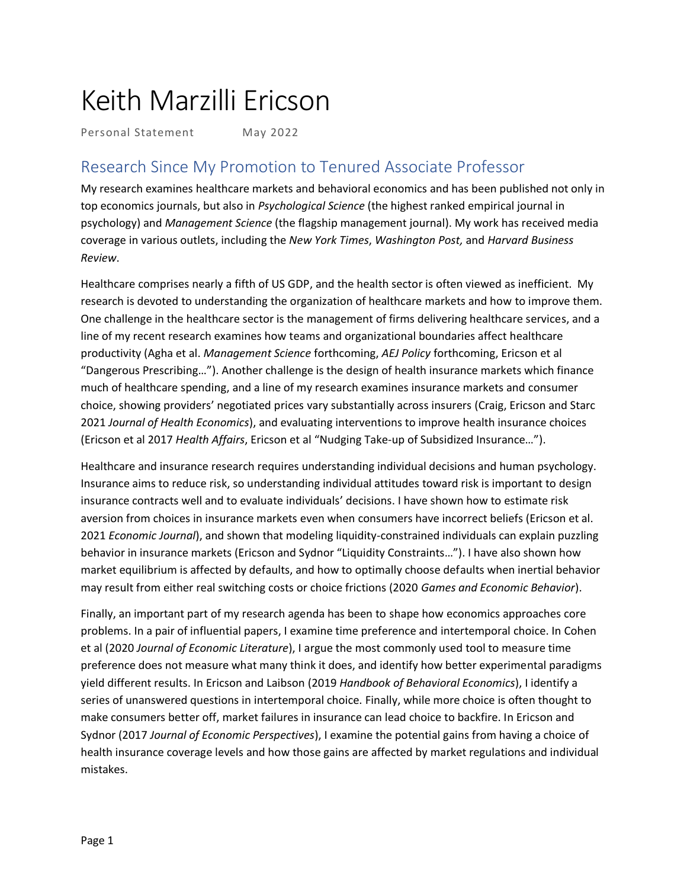# Keith Marzilli Ericson

Personal Statement May 2022

# Research Since My Promotion to Tenured Associate Professor

My research examines healthcare markets and behavioral economics and has been published not only in top economics journals, but also in *Psychological Science* (the highest ranked empirical journal in psychology) and *Management Science* (the flagship management journal). My work has received media coverage in various outlets, including the *New York Times*, *Washington Post,* and *Harvard Business Review*.

Healthcare comprises nearly a fifth of US GDP, and the health sector is often viewed as inefficient. My research is devoted to understanding the organization of healthcare markets and how to improve them. One challenge in the healthcare sector is the management of firms delivering healthcare services, and a line of my recent research examines how teams and organizational boundaries affect healthcare productivity (Agha et al. *Management Science* forthcoming, *AEJ Policy* forthcoming, Ericson et al "Dangerous Prescribing…"). Another challenge is the design of health insurance markets which finance much of healthcare spending, and a line of my research examines insurance markets and consumer choice, showing providers' negotiated prices vary substantially across insurers (Craig, Ericson and Starc 2021 *Journal of Health Economics*), and evaluating interventions to improve health insurance choices (Ericson et al 2017 *Health Affairs*, Ericson et al "Nudging Take-up of Subsidized Insurance…").

Healthcare and insurance research requires understanding individual decisions and human psychology. Insurance aims to reduce risk, so understanding individual attitudes toward risk is important to design insurance contracts well and to evaluate individuals' decisions. I have shown how to estimate risk aversion from choices in insurance markets even when consumers have incorrect beliefs (Ericson et al. 2021 *Economic Journal*), and shown that modeling liquidity-constrained individuals can explain puzzling behavior in insurance markets (Ericson and Sydnor "Liquidity Constraints…"). I have also shown how market equilibrium is affected by defaults, and how to optimally choose defaults when inertial behavior may result from either real switching costs or choice frictions (2020 *Games and Economic Behavior*).

Finally, an important part of my research agenda has been to shape how economics approaches core problems. In a pair of influential papers, I examine time preference and intertemporal choice. In Cohen et al (2020 *Journal of Economic Literature*), I argue the most commonly used tool to measure time preference does not measure what many think it does, and identify how better experimental paradigms yield different results. In Ericson and Laibson (2019 *Handbook of Behavioral Economics*), I identify a series of unanswered questions in intertemporal choice. Finally, while more choice is often thought to make consumers better off, market failures in insurance can lead choice to backfire. In Ericson and Sydnor (2017 *Journal of Economic Perspectives*), I examine the potential gains from having a choice of health insurance coverage levels and how those gains are affected by market regulations and individual mistakes.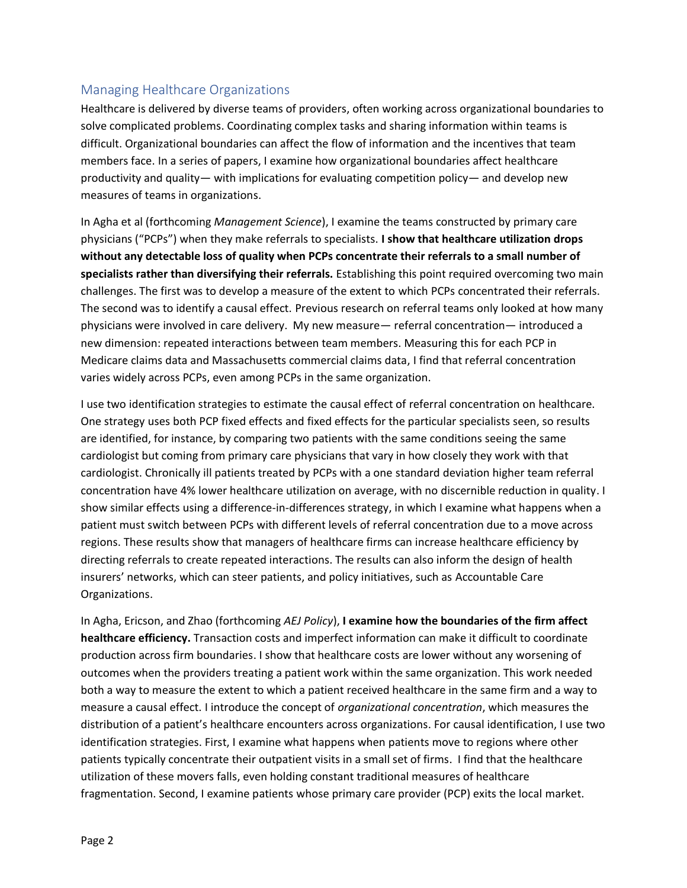## Managing Healthcare Organizations

Healthcare is delivered by diverse teams of providers, often working across organizational boundaries to solve complicated problems. Coordinating complex tasks and sharing information within teams is difficult. Organizational boundaries can affect the flow of information and the incentives that team members face. In a series of papers, I examine how organizational boundaries affect healthcare productivity and quality— with implications for evaluating competition policy— and develop new measures of teams in organizations.

In Agha et al (forthcoming *Management Science*), I examine the teams constructed by primary care physicians ("PCPs") when they make referrals to specialists. **I show that healthcare utilization drops without any detectable loss of quality when PCPs concentrate their referrals to a small number of specialists rather than diversifying their referrals.** Establishing this point required overcoming two main challenges. The first was to develop a measure of the extent to which PCPs concentrated their referrals. The second was to identify a causal effect. Previous research on referral teams only looked at how many physicians were involved in care delivery. My new measure— referral concentration— introduced a new dimension: repeated interactions between team members. Measuring this for each PCP in Medicare claims data and Massachusetts commercial claims data, I find that referral concentration varies widely across PCPs, even among PCPs in the same organization.

I use two identification strategies to estimate the causal effect of referral concentration on healthcare. One strategy uses both PCP fixed effects and fixed effects for the particular specialists seen, so results are identified, for instance, by comparing two patients with the same conditions seeing the same cardiologist but coming from primary care physicians that vary in how closely they work with that cardiologist. Chronically ill patients treated by PCPs with a one standard deviation higher team referral concentration have 4% lower healthcare utilization on average, with no discernible reduction in quality. I show similar effects using a difference-in-differences strategy, in which I examine what happens when a patient must switch between PCPs with different levels of referral concentration due to a move across regions. These results show that managers of healthcare firms can increase healthcare efficiency by directing referrals to create repeated interactions. The results can also inform the design of health insurers' networks, which can steer patients, and policy initiatives, such as Accountable Care Organizations.

In Agha, Ericson, and Zhao (forthcoming *AEJ Policy*), **I examine how the boundaries of the firm affect healthcare efficiency.** Transaction costs and imperfect information can make it difficult to coordinate production across firm boundaries. I show that healthcare costs are lower without any worsening of outcomes when the providers treating a patient work within the same organization. This work needed both a way to measure the extent to which a patient received healthcare in the same firm and a way to measure a causal effect. I introduce the concept of *organizational concentration*, which measures the distribution of a patient's healthcare encounters across organizations. For causal identification, I use two identification strategies. First, I examine what happens when patients move to regions where other patients typically concentrate their outpatient visits in a small set of firms. I find that the healthcare utilization of these movers falls, even holding constant traditional measures of healthcare fragmentation. Second, I examine patients whose primary care provider (PCP) exits the local market.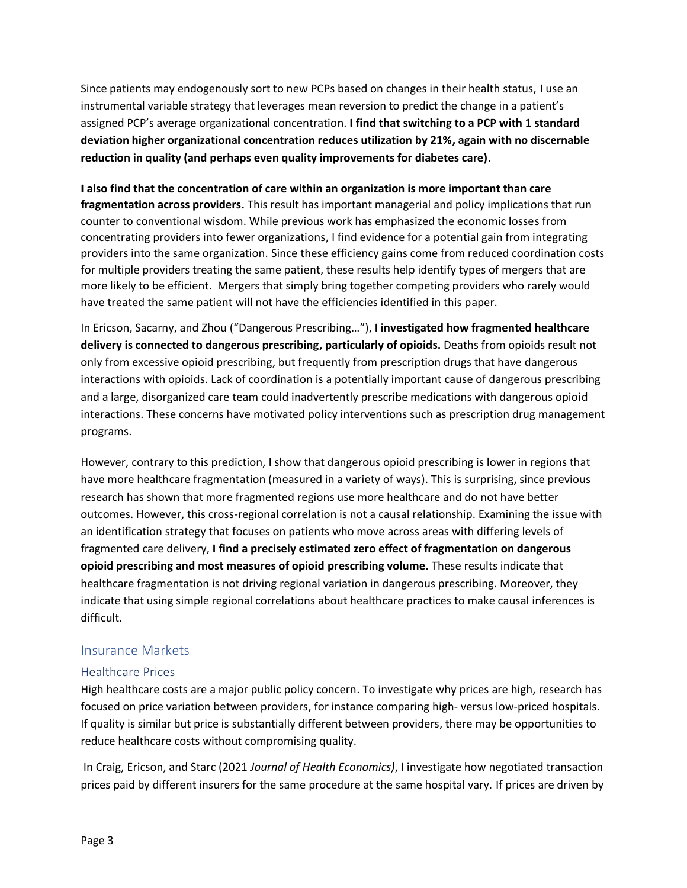Since patients may endogenously sort to new PCPs based on changes in their health status, I use an instrumental variable strategy that leverages mean reversion to predict the change in a patient's assigned PCP's average organizational concentration. **I find that switching to a PCP with 1 standard deviation higher organizational concentration reduces utilization by 21%, again with no discernable reduction in quality (and perhaps even quality improvements for diabetes care)**.

**I also find that the concentration of care within an organization is more important than care fragmentation across providers.** This result has important managerial and policy implications that run counter to conventional wisdom. While previous work has emphasized the economic losses from concentrating providers into fewer organizations, I find evidence for a potential gain from integrating providers into the same organization. Since these efficiency gains come from reduced coordination costs for multiple providers treating the same patient, these results help identify types of mergers that are more likely to be efficient. Mergers that simply bring together competing providers who rarely would have treated the same patient will not have the efficiencies identified in this paper.

In Ericson, Sacarny, and Zhou ("Dangerous Prescribing…"), **I investigated how fragmented healthcare delivery is connected to dangerous prescribing, particularly of opioids.** Deaths from opioids result not only from excessive opioid prescribing, but frequently from prescription drugs that have dangerous interactions with opioids. Lack of coordination is a potentially important cause of dangerous prescribing and a large, disorganized care team could inadvertently prescribe medications with dangerous opioid interactions. These concerns have motivated policy interventions such as prescription drug management programs.

However, contrary to this prediction, I show that dangerous opioid prescribing is lower in regions that have more healthcare fragmentation (measured in a variety of ways). This is surprising, since previous research has shown that more fragmented regions use more healthcare and do not have better outcomes. However, this cross-regional correlation is not a causal relationship. Examining the issue with an identification strategy that focuses on patients who move across areas with differing levels of fragmented care delivery, **I find a precisely estimated zero effect of fragmentation on dangerous opioid prescribing and most measures of opioid prescribing volume.** These results indicate that healthcare fragmentation is not driving regional variation in dangerous prescribing. Moreover, they indicate that using simple regional correlations about healthcare practices to make causal inferences is difficult.

#### Insurance Markets

#### Healthcare Prices

High healthcare costs are a major public policy concern. To investigate why prices are high, research has focused on price variation between providers, for instance comparing high- versus low-priced hospitals. If quality is similar but price is substantially different between providers, there may be opportunities to reduce healthcare costs without compromising quality.

In Craig, Ericson, and Starc (2021 *Journal of Health Economics)*, I investigate how negotiated transaction prices paid by different insurers for the same procedure at the same hospital vary. If prices are driven by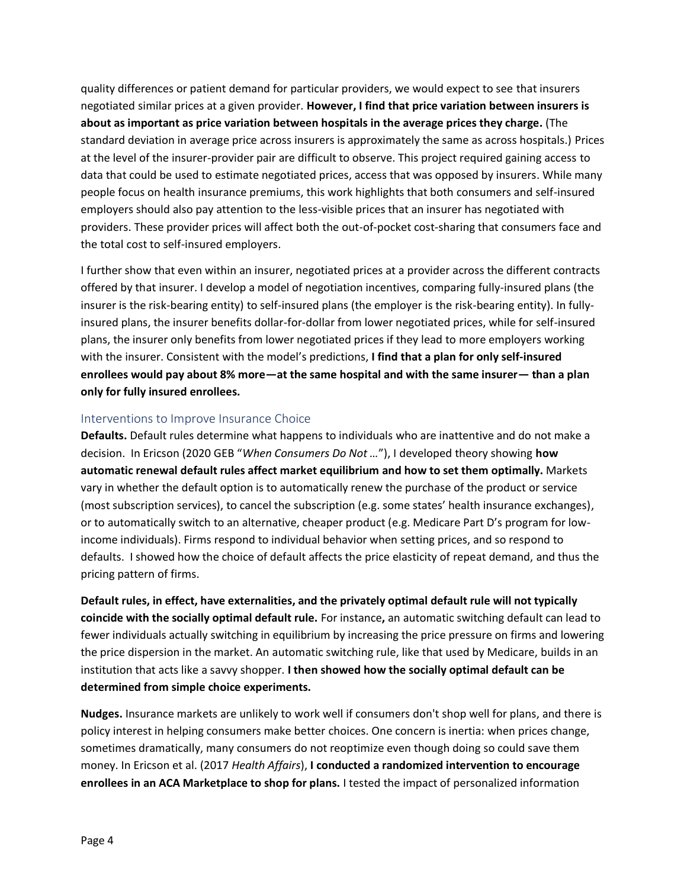quality differences or patient demand for particular providers, we would expect to see that insurers negotiated similar prices at a given provider. **However, I find that price variation between insurers is about as important as price variation between hospitals in the average prices they charge.** (The standard deviation in average price across insurers is approximately the same as across hospitals.) Prices at the level of the insurer-provider pair are difficult to observe. This project required gaining access to data that could be used to estimate negotiated prices, access that was opposed by insurers. While many people focus on health insurance premiums, this work highlights that both consumers and self-insured employers should also pay attention to the less-visible prices that an insurer has negotiated with providers. These provider prices will affect both the out-of-pocket cost-sharing that consumers face and the total cost to self-insured employers.

I further show that even within an insurer, negotiated prices at a provider across the different contracts offered by that insurer. I develop a model of negotiation incentives, comparing fully-insured plans (the insurer is the risk-bearing entity) to self-insured plans (the employer is the risk-bearing entity). In fullyinsured plans, the insurer benefits dollar-for-dollar from lower negotiated prices, while for self-insured plans, the insurer only benefits from lower negotiated prices if they lead to more employers working with the insurer. Consistent with the model's predictions, **I find that a plan for only self-insured enrollees would pay about 8% more—at the same hospital and with the same insurer— than a plan only for fully insured enrollees.**

#### Interventions to Improve Insurance Choice

**Defaults.** Default rules determine what happens to individuals who are inattentive and do not make a decision. In Ericson (2020 GEB "*When Consumers Do Not …*"), I developed theory showing **how automatic renewal default rules affect market equilibrium and how to set them optimally.** Markets vary in whether the default option is to automatically renew the purchase of the product or service (most subscription services), to cancel the subscription (e.g. some states' health insurance exchanges), or to automatically switch to an alternative, cheaper product (e.g. Medicare Part D's program for lowincome individuals). Firms respond to individual behavior when setting prices, and so respond to defaults. I showed how the choice of default affects the price elasticity of repeat demand, and thus the pricing pattern of firms.

**Default rules, in effect, have externalities, and the privately optimal default rule will not typically coincide with the socially optimal default rule.** For instance**,** an automatic switching default can lead to fewer individuals actually switching in equilibrium by increasing the price pressure on firms and lowering the price dispersion in the market. An automatic switching rule, like that used by Medicare, builds in an institution that acts like a savvy shopper. **I then showed how the socially optimal default can be determined from simple choice experiments.**

**Nudges.** Insurance markets are unlikely to work well if consumers don't shop well for plans, and there is policy interest in helping consumers make better choices. One concern is inertia: when prices change, sometimes dramatically, many consumers do not reoptimize even though doing so could save them money. In Ericson et al. (2017 *Health Affairs*), **I conducted a randomized intervention to encourage enrollees in an ACA Marketplace to shop for plans.** I tested the impact of personalized information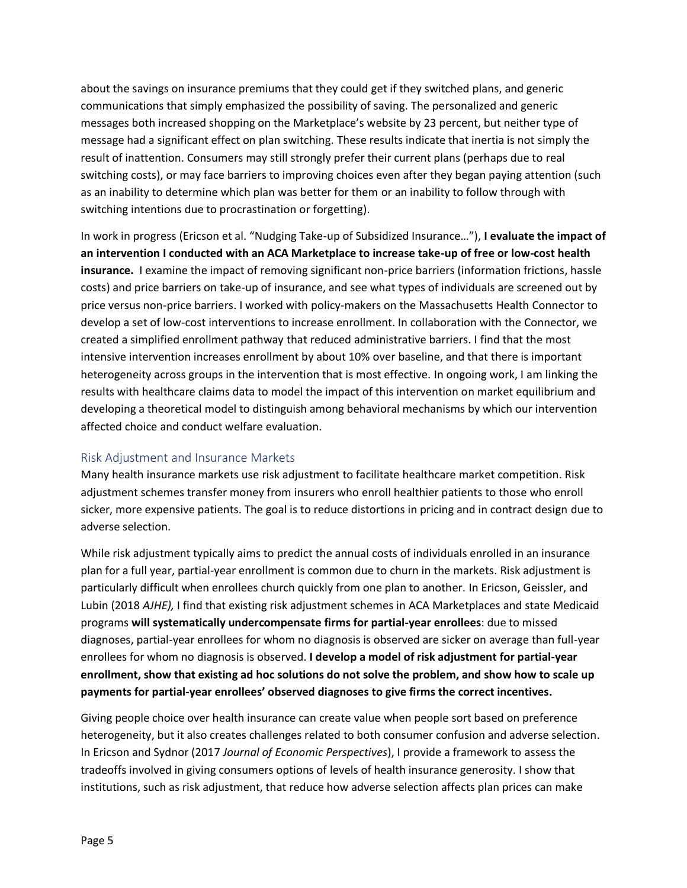about the savings on insurance premiums that they could get if they switched plans, and generic communications that simply emphasized the possibility of saving. The personalized and generic messages both increased shopping on the Marketplace's website by 23 percent, but neither type of message had a significant effect on plan switching. These results indicate that inertia is not simply the result of inattention. Consumers may still strongly prefer their current plans (perhaps due to real switching costs), or may face barriers to improving choices even after they began paying attention (such as an inability to determine which plan was better for them or an inability to follow through with switching intentions due to procrastination or forgetting).

In work in progress (Ericson et al. "Nudging Take-up of Subsidized Insurance…"), **I evaluate the impact of an intervention I conducted with an ACA Marketplace to increase take-up of free or low-cost health insurance.** I examine the impact of removing significant non-price barriers (information frictions, hassle costs) and price barriers on take-up of insurance, and see what types of individuals are screened out by price versus non-price barriers. I worked with policy-makers on the Massachusetts Health Connector to develop a set of low-cost interventions to increase enrollment. In collaboration with the Connector, we created a simplified enrollment pathway that reduced administrative barriers. I find that the most intensive intervention increases enrollment by about 10% over baseline, and that there is important heterogeneity across groups in the intervention that is most effective. In ongoing work, I am linking the results with healthcare claims data to model the impact of this intervention on market equilibrium and developing a theoretical model to distinguish among behavioral mechanisms by which our intervention affected choice and conduct welfare evaluation.

#### Risk Adjustment and Insurance Markets

Many health insurance markets use risk adjustment to facilitate healthcare market competition. Risk adjustment schemes transfer money from insurers who enroll healthier patients to those who enroll sicker, more expensive patients. The goal is to reduce distortions in pricing and in contract design due to adverse selection.

While risk adjustment typically aims to predict the annual costs of individuals enrolled in an insurance plan for a full year, partial-year enrollment is common due to churn in the markets. Risk adjustment is particularly difficult when enrollees church quickly from one plan to another. In Ericson, Geissler, and Lubin (2018 *AJHE),* I find that existing risk adjustment schemes in ACA Marketplaces and state Medicaid programs **will systematically undercompensate firms for partial-year enrollees**: due to missed diagnoses, partial-year enrollees for whom no diagnosis is observed are sicker on average than full-year enrollees for whom no diagnosis is observed. **I develop a model of risk adjustment for partial-year enrollment, show that existing ad hoc solutions do not solve the problem, and show how to scale up payments for partial-year enrollees' observed diagnoses to give firms the correct incentives.**

Giving people choice over health insurance can create value when people sort based on preference heterogeneity, but it also creates challenges related to both consumer confusion and adverse selection. In Ericson and Sydnor (2017 *Journal of Economic Perspectives*), I provide a framework to assess the tradeoffs involved in giving consumers options of levels of health insurance generosity. I show that institutions, such as risk adjustment, that reduce how adverse selection affects plan prices can make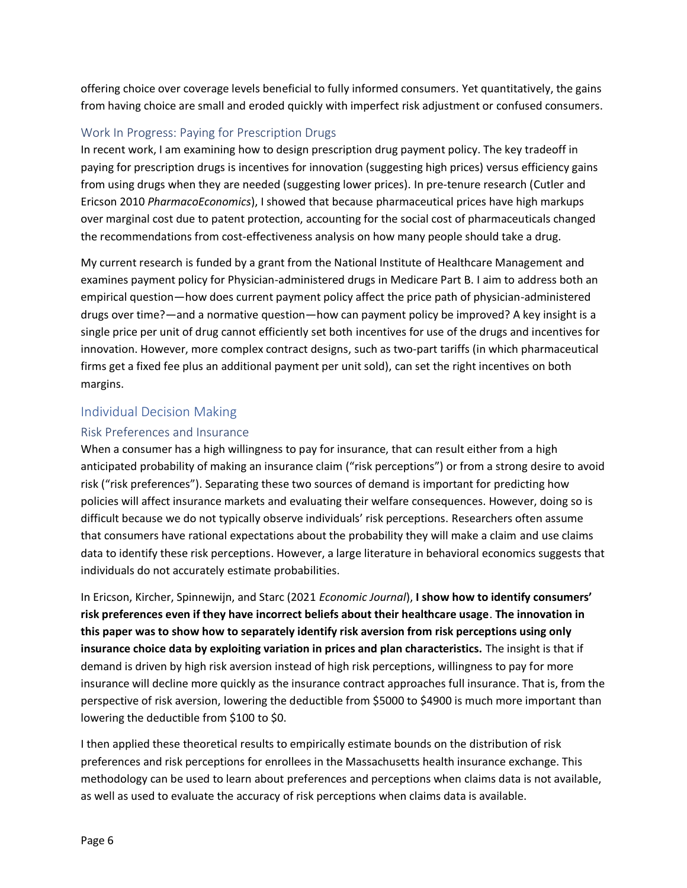offering choice over coverage levels beneficial to fully informed consumers. Yet quantitatively, the gains from having choice are small and eroded quickly with imperfect risk adjustment or confused consumers.

## Work In Progress: Paying for Prescription Drugs

In recent work, I am examining how to design prescription drug payment policy. The key tradeoff in paying for prescription drugs is incentives for innovation (suggesting high prices) versus efficiency gains from using drugs when they are needed (suggesting lower prices). In pre-tenure research (Cutler and Ericson 2010 *PharmacoEconomics*), I showed that because pharmaceutical prices have high markups over marginal cost due to patent protection, accounting for the social cost of pharmaceuticals changed the recommendations from cost-effectiveness analysis on how many people should take a drug.

My current research is funded by a grant from the National Institute of Healthcare Management and examines payment policy for Physician-administered drugs in Medicare Part B. I aim to address both an empirical question—how does current payment policy affect the price path of physician-administered drugs over time?—and a normative question—how can payment policy be improved? A key insight is a single price per unit of drug cannot efficiently set both incentives for use of the drugs and incentives for innovation. However, more complex contract designs, such as two-part tariffs (in which pharmaceutical firms get a fixed fee plus an additional payment per unit sold), can set the right incentives on both margins.

## Individual Decision Making

#### Risk Preferences and Insurance

When a consumer has a high willingness to pay for insurance, that can result either from a high anticipated probability of making an insurance claim ("risk perceptions") or from a strong desire to avoid risk ("risk preferences"). Separating these two sources of demand is important for predicting how policies will affect insurance markets and evaluating their welfare consequences. However, doing so is difficult because we do not typically observe individuals' risk perceptions. Researchers often assume that consumers have rational expectations about the probability they will make a claim and use claims data to identify these risk perceptions. However, a large literature in behavioral economics suggests that individuals do not accurately estimate probabilities.

In Ericson, Kircher, Spinnewijn, and Starc (2021 *Economic Journal*), **I show how to identify consumers' risk preferences even if they have incorrect beliefs about their healthcare usage**. **The innovation in this paper was to show how to separately identify risk aversion from risk perceptions using only insurance choice data by exploiting variation in prices and plan characteristics.** The insight is that if demand is driven by high risk aversion instead of high risk perceptions, willingness to pay for more insurance will decline more quickly as the insurance contract approaches full insurance. That is, from the perspective of risk aversion, lowering the deductible from \$5000 to \$4900 is much more important than lowering the deductible from \$100 to \$0.

I then applied these theoretical results to empirically estimate bounds on the distribution of risk preferences and risk perceptions for enrollees in the Massachusetts health insurance exchange. This methodology can be used to learn about preferences and perceptions when claims data is not available, as well as used to evaluate the accuracy of risk perceptions when claims data is available.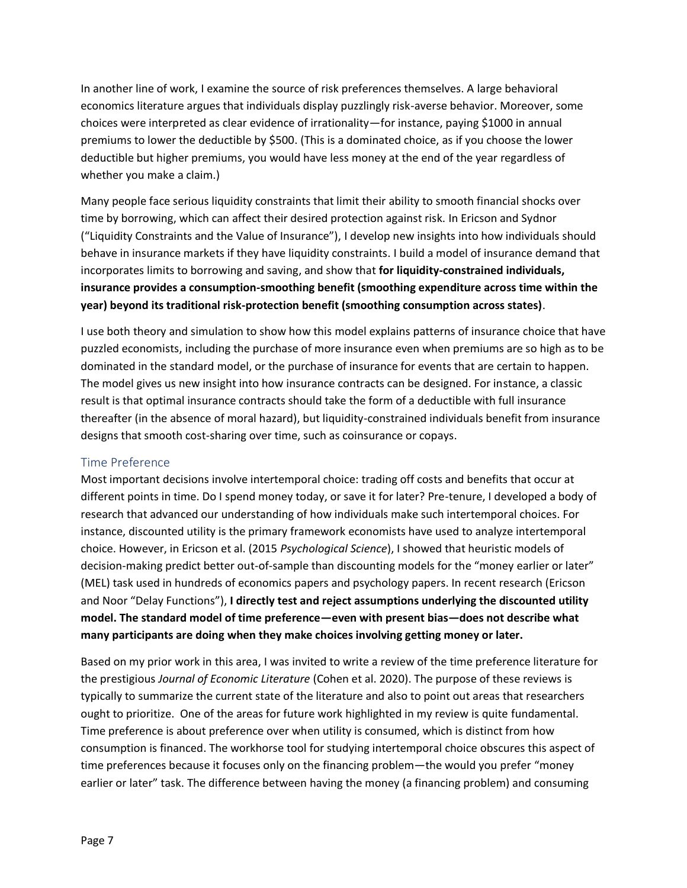In another line of work, I examine the source of risk preferences themselves. A large behavioral economics literature argues that individuals display puzzlingly risk-averse behavior. Moreover, some choices were interpreted as clear evidence of irrationality—for instance, paying \$1000 in annual premiums to lower the deductible by \$500. (This is a dominated choice, as if you choose the lower deductible but higher premiums, you would have less money at the end of the year regardless of whether you make a claim.)

Many people face serious liquidity constraints that limit their ability to smooth financial shocks over time by borrowing, which can affect their desired protection against risk. In Ericson and Sydnor ("Liquidity Constraints and the Value of Insurance"), I develop new insights into how individuals should behave in insurance markets if they have liquidity constraints. I build a model of insurance demand that incorporates limits to borrowing and saving, and show that **for liquidity-constrained individuals, insurance provides a consumption-smoothing benefit (smoothing expenditure across time within the year) beyond its traditional risk-protection benefit (smoothing consumption across states)**.

I use both theory and simulation to show how this model explains patterns of insurance choice that have puzzled economists, including the purchase of more insurance even when premiums are so high as to be dominated in the standard model, or the purchase of insurance for events that are certain to happen. The model gives us new insight into how insurance contracts can be designed. For instance, a classic result is that optimal insurance contracts should take the form of a deductible with full insurance thereafter (in the absence of moral hazard), but liquidity-constrained individuals benefit from insurance designs that smooth cost-sharing over time, such as coinsurance or copays.

#### Time Preference

Most important decisions involve intertemporal choice: trading off costs and benefits that occur at different points in time. Do I spend money today, or save it for later? Pre-tenure, I developed a body of research that advanced our understanding of how individuals make such intertemporal choices. For instance, discounted utility is the primary framework economists have used to analyze intertemporal choice. However, in Ericson et al. (2015 *Psychological Science*), I showed that heuristic models of decision-making predict better out-of-sample than discounting models for the "money earlier or later" (MEL) task used in hundreds of economics papers and psychology papers. In recent research (Ericson and Noor "Delay Functions"), **I directly test and reject assumptions underlying the discounted utility model. The standard model of time preference—even with present bias—does not describe what many participants are doing when they make choices involving getting money or later.**

Based on my prior work in this area, I was invited to write a review of the time preference literature for the prestigious *Journal of Economic Literature* (Cohen et al. 2020). The purpose of these reviews is typically to summarize the current state of the literature and also to point out areas that researchers ought to prioritize. One of the areas for future work highlighted in my review is quite fundamental. Time preference is about preference over when utility is consumed, which is distinct from how consumption is financed. The workhorse tool for studying intertemporal choice obscures this aspect of time preferences because it focuses only on the financing problem—the would you prefer "money earlier or later" task. The difference between having the money (a financing problem) and consuming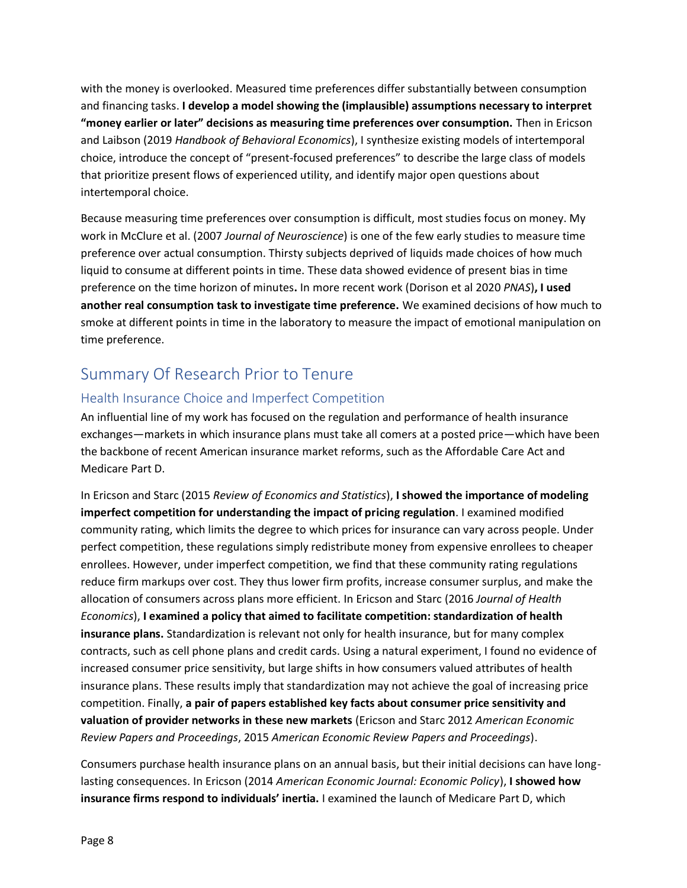with the money is overlooked. Measured time preferences differ substantially between consumption and financing tasks. **I develop a model showing the (implausible) assumptions necessary to interpret "money earlier or later" decisions as measuring time preferences over consumption.** Then in Ericson and Laibson (2019 *Handbook of Behavioral Economics*), I synthesize existing models of intertemporal choice, introduce the concept of "present-focused preferences" to describe the large class of models that prioritize present flows of experienced utility, and identify major open questions about intertemporal choice.

Because measuring time preferences over consumption is difficult, most studies focus on money. My work in McClure et al. (2007 *Journal of Neuroscience*) is one of the few early studies to measure time preference over actual consumption. Thirsty subjects deprived of liquids made choices of how much liquid to consume at different points in time. These data showed evidence of present bias in time preference on the time horizon of minutes**.** In more recent work (Dorison et al 2020 *PNAS*)**, I used another real consumption task to investigate time preference.** We examined decisions of how much to smoke at different points in time in the laboratory to measure the impact of emotional manipulation on time preference.

# Summary Of Research Prior to Tenure

# Health Insurance Choice and Imperfect Competition

An influential line of my work has focused on the regulation and performance of health insurance exchanges—markets in which insurance plans must take all comers at a posted price—which have been the backbone of recent American insurance market reforms, such as the Affordable Care Act and Medicare Part D.

In Ericson and Starc (2015 *Review of Economics and Statistics*), **I showed the importance of modeling imperfect competition for understanding the impact of pricing regulation**. I examined modified community rating, which limits the degree to which prices for insurance can vary across people. Under perfect competition, these regulations simply redistribute money from expensive enrollees to cheaper enrollees. However, under imperfect competition, we find that these community rating regulations reduce firm markups over cost. They thus lower firm profits, increase consumer surplus, and make the allocation of consumers across plans more efficient. In Ericson and Starc (2016 *Journal of Health Economics*), **I examined a policy that aimed to facilitate competition: standardization of health insurance plans.** Standardization is relevant not only for health insurance, but for many complex contracts, such as cell phone plans and credit cards. Using a natural experiment, I found no evidence of increased consumer price sensitivity, but large shifts in how consumers valued attributes of health insurance plans. These results imply that standardization may not achieve the goal of increasing price competition. Finally, **a pair of papers established key facts about consumer price sensitivity and valuation of provider networks in these new markets** (Ericson and Starc 2012 *American Economic Review Papers and Proceedings*, 2015 *American Economic Review Papers and Proceedings*).

Consumers purchase health insurance plans on an annual basis, but their initial decisions can have longlasting consequences. In Ericson (2014 *American Economic Journal: Economic Policy*), **I showed how insurance firms respond to individuals' inertia.** I examined the launch of Medicare Part D, which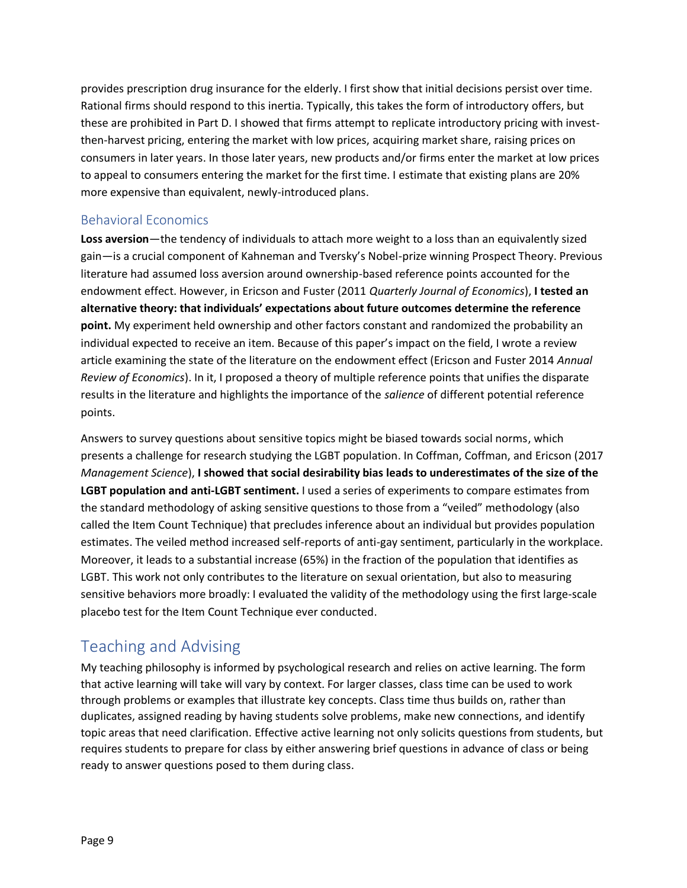provides prescription drug insurance for the elderly. I first show that initial decisions persist over time. Rational firms should respond to this inertia. Typically, this takes the form of introductory offers, but these are prohibited in Part D. I showed that firms attempt to replicate introductory pricing with investthen-harvest pricing, entering the market with low prices, acquiring market share, raising prices on consumers in later years. In those later years, new products and/or firms enter the market at low prices to appeal to consumers entering the market for the first time. I estimate that existing plans are 20% more expensive than equivalent, newly-introduced plans.

#### Behavioral Economics

**Loss aversion**—the tendency of individuals to attach more weight to a loss than an equivalently sized gain—is a crucial component of Kahneman and Tversky's Nobel-prize winning Prospect Theory. Previous literature had assumed loss aversion around ownership-based reference points accounted for the endowment effect. However, in Ericson and Fuster (2011 *Quarterly Journal of Economics*), **I tested an alternative theory: that individuals' expectations about future outcomes determine the reference point.** My experiment held ownership and other factors constant and randomized the probability an individual expected to receive an item. Because of this paper's impact on the field, I wrote a review article examining the state of the literature on the endowment effect (Ericson and Fuster 2014 *Annual Review of Economics*). In it, I proposed a theory of multiple reference points that unifies the disparate results in the literature and highlights the importance of the *salience* of different potential reference points.

Answers to survey questions about sensitive topics might be biased towards social norms, which presents a challenge for research studying the LGBT population. In Coffman, Coffman, and Ericson (2017 *Management Science*), **I showed that social desirability bias leads to underestimates of the size of the LGBT population and anti-LGBT sentiment.** I used a series of experiments to compare estimates from the standard methodology of asking sensitive questions to those from a "veiled" methodology (also called the Item Count Technique) that precludes inference about an individual but provides population estimates. The veiled method increased self-reports of anti-gay sentiment, particularly in the workplace. Moreover, it leads to a substantial increase (65%) in the fraction of the population that identifies as LGBT. This work not only contributes to the literature on sexual orientation, but also to measuring sensitive behaviors more broadly: I evaluated the validity of the methodology using the first large-scale placebo test for the Item Count Technique ever conducted.

# Teaching and Advising

My teaching philosophy is informed by psychological research and relies on active learning. The form that active learning will take will vary by context. For larger classes, class time can be used to work through problems or examples that illustrate key concepts. Class time thus builds on, rather than duplicates, assigned reading by having students solve problems, make new connections, and identify topic areas that need clarification. Effective active learning not only solicits questions from students, but requires students to prepare for class by either answering brief questions in advance of class or being ready to answer questions posed to them during class.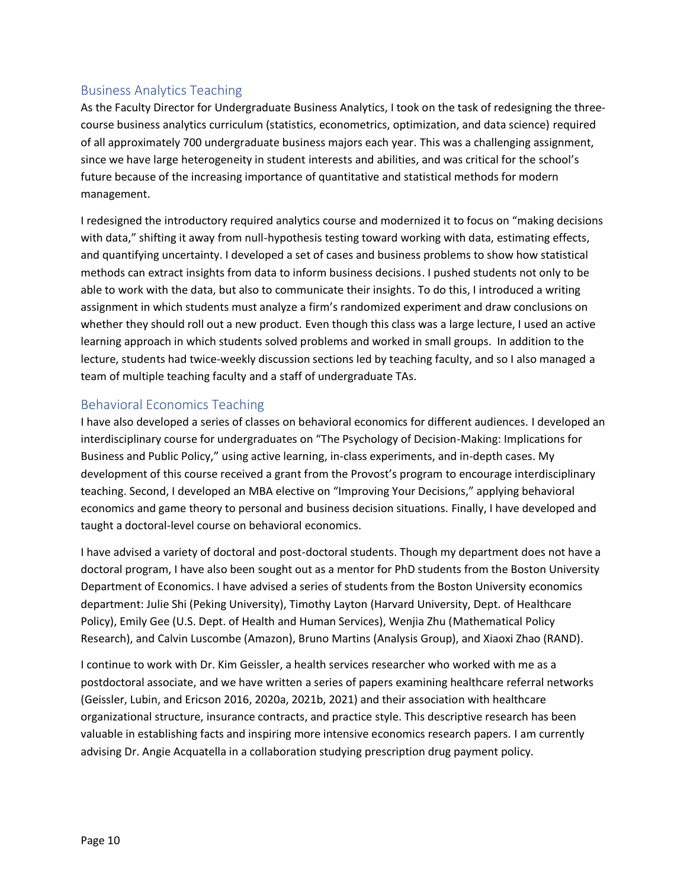## Business Analytics Teaching

As the Faculty Director for Undergraduate Business Analytics, I took on the task of redesigning the threecourse business analytics curriculum (statistics, econometrics, optimization, and data science) required of all approximately 700 undergraduate business majors each year. This was a challenging assignment, since we have large heterogeneity in student interests and abilities, and was critical for the school's future because of the increasing importance of quantitative and statistical methods for modern management.

I redesigned the introductory required analytics course and modernized it to focus on "making decisions with data," shifting it away from null-hypothesis testing toward working with data, estimating effects, and quantifying uncertainty. I developed a set of cases and business problems to show how statistical methods can extract insights from data to inform business decisions. I pushed students not only to be able to work with the data, but also to communicate their insights. To do this, I introduced a writing assignment in which students must analyze a firm's randomized experiment and draw conclusions on whether they should roll out a new product. Even though this class was a large lecture, I used an active learning approach in which students solved problems and worked in small groups. In addition to the lecture, students had twice-weekly discussion sections led by teaching faculty, and so I also managed a team of multiple teaching faculty and a staff of undergraduate TAs.

## Behavioral Economics Teaching

I have also developed a series of classes on behavioral economics for different audiences. I developed an interdisciplinary course for undergraduates on "The Psychology of Decision-Making: Implications for Business and Public Policy," using active learning, in-class experiments, and in-depth cases. My development of this course received a grant from the Provost's program to encourage interdisciplinary teaching. Second, I developed an MBA elective on "Improving Your Decisions," applying behavioral economics and game theory to personal and business decision situations. Finally, I have developed and taught a doctoral-level course on behavioral economics.

I have advised a variety of doctoral and post-doctoral students. Though my department does not have a doctoral program, I have also been sought out as a mentor for PhD students from the Boston University Department of Economics. I have advised a series of students from the Boston University economics department: Julie Shi (Peking University), Timothy Layton (Harvard University, Dept. of Healthcare Policy), Emily Gee (U.S. Dept. of Health and Human Services), Wenjia Zhu (Mathematical Policy Research), and Calvin Luscombe (Amazon), Bruno Martins (Analysis Group), and Xiaoxi Zhao (RAND).

I continue to work with Dr. Kim Geissler, a health services researcher who worked with me as a postdoctoral associate, and we have written a series of papers examining healthcare referral networks (Geissler, Lubin, and Ericson 2016, 2020a, 2021b, 2021) and their association with healthcare organizational structure, insurance contracts, and practice style. This descriptive research has been valuable in establishing facts and inspiring more intensive economics research papers. I am currently advising Dr. Angie Acquatella in a collaboration studying prescription drug payment policy.